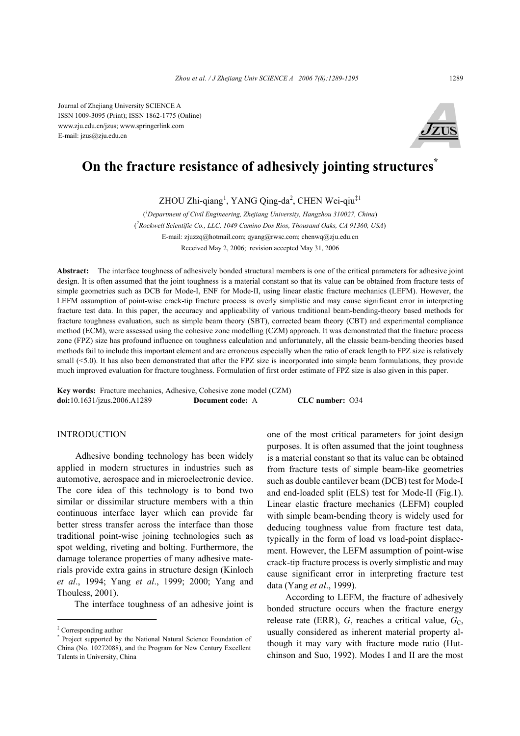Journal of Zhejiang University SCIENCE A ISSN 1009-3095 (Print); ISSN 1862-1775 (Online) www.zju.edu.cn/jzus; www.springerlink.com E-mail: jzus@zju.edu.cn



# **On the fracture resistance of adhesively jointing structures\***

ZHOU Zhi-qiang<sup>1</sup>, YANG Qing-da<sup>2</sup>, CHEN Wei-qiu<sup>‡1</sup>

( *1 Department of Civil Engineering, Zhejiang University, Hangzhou 310027, China*) ( *2 Rockwell Scientific Co., LLC, 1049 Camino Dos Rios, Thousand Oaks, CA 91360, USA*) E-mail: zjuzzq@hotmail.com; qyang@rwsc.com; chenwq@zju.edu.cn Received May 2, 2006; revision accepted May 31, 2006

**Abstract:** The interface toughness of adhesively bonded structural members is one of the critical parameters for adhesive joint design. It is often assumed that the joint toughness is a material constant so that its value can be obtained from fracture tests of simple geometries such as DCB for Mode-I, ENF for Mode-II, using linear elastic fracture mechanics (LEFM). However, the LEFM assumption of point-wise crack-tip fracture process is overly simplistic and may cause significant error in interpreting fracture test data. In this paper, the accuracy and applicability of various traditional beam-bending-theory based methods for fracture toughness evaluation, such as simple beam theory (SBT), corrected beam theory (CBT) and experimental compliance method (ECM), were assessed using the cohesive zone modelling (CZM) approach. It was demonstrated that the fracture process zone (FPZ) size has profound influence on toughness calculation and unfortunately, all the classic beam-bending theories based methods fail to include this important element and are erroneous especially when the ratio of crack length to FPZ size is relatively small (<5.0). It has also been demonstrated that after the FPZ size is incorporated into simple beam formulations, they provide much improved evaluation for fracture toughness. Formulation of first order estimate of FPZ size is also given in this paper.

**Key words:** Fracture mechanics, Adhesive, Cohesive zone model (CZM) **doi:**10.1631/jzus.2006.A1289 **Document code:** A **CLC number:** O34

### **INTRODUCTION**

Adhesive bonding technology has been widely applied in modern structures in industries such as automotive, aerospace and in microelectronic device. The core idea of this technology is to bond two similar or dissimilar structure members with a thin continuous interface layer which can provide far better stress transfer across the interface than those traditional point-wise joining technologies such as spot welding, riveting and bolting. Furthermore, the damage tolerance properties of many adhesive materials provide extra gains in structure design (Kinloch *et al*., 1994; Yang *et al*., 1999; 2000; Yang and Thouless, 2001).

The interface toughness of an adhesive joint is

one of the most critical parameters for joint design purposes. It is often assumed that the joint toughness is a material constant so that its value can be obtained from fracture tests of simple beam-like geometries such as double cantilever beam (DCB) test for Mode-I and end-loaded split (ELS) test for Mode-II (Fig.1). Linear elastic fracture mechanics (LEFM) coupled with simple beam-bending theory is widely used for deducing toughness value from fracture test data, typically in the form of load vs load-point displacement. However, the LEFM assumption of point-wise crack-tip fracture process is overly simplistic and may cause significant error in interpreting fracture test data (Yang *et al*., 1999).

According to LEFM, the fracture of adhesively bonded structure occurs when the fracture energy release rate (ERR),  $G$ , reaches a critical value,  $G_C$ , usually considered as inherent material property although it may vary with fracture mode ratio (Hutchinson and Suo, 1992). Modes I and II are the most

<sup>‡</sup> Corresponding author

<sup>\*</sup> Project supported by the National Natural Science Foundation of China (No. 10272088), and the Program for New Century Excellent Talents in University, China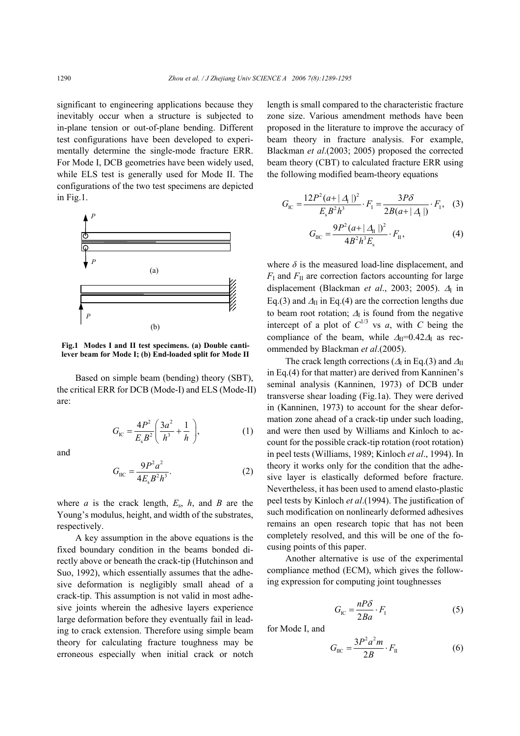significant to engineering applications because they inevitably occur when a structure is subjected to in-plane tension or out-of-plane bending. Different test configurations have been developed to experimentally determine the single-mode fracture ERR. For Mode I, DCB geometries have been widely used, while ELS test is generally used for Mode II. The configurations of the two test specimens are depicted in Fig.1.



**Fig.1 Modes I and II test specimens. (a) Double cantilever beam for Mode I; (b) End-loaded split for Mode II**

Based on simple beam (bending) theory (SBT), the critical ERR for DCB (Mode-I) and ELS (Mode-II) are:

$$
G_{\rm IC} = \frac{4P^2}{E_s B^2} \left( \frac{3a^2}{h^3} + \frac{1}{h} \right),\tag{1}
$$

and  

$$
G_{\rm IIC} = \frac{9P^2a^2}{4E_sB^2h^3}.
$$
 (2)

where *a* is the crack length,  $E_s$ ,  $h$ , and *B* are the Young's modulus, height, and width of the substrates, respectively.

A key assumption in the above equations is the fixed boundary condition in the beams bonded directly above or beneath the crack-tip (Hutchinson and Suo, 1992), which essentially assumes that the adhesive deformation is negligibly small ahead of a crack-tip. This assumption is not valid in most adhesive joints wherein the adhesive layers experience large deformation before they eventually fail in leading to crack extension. Therefore using simple beam theory for calculating fracture toughness may be erroneous especially when initial crack or notch length is small compared to the characteristic fracture zone size. Various amendment methods have been proposed in the literature to improve the accuracy of beam theory in fracture analysis. For example, Blackman *et al*.(2003; 2005) proposed the corrected beam theory (CBT) to calculated fracture ERR using the following modified beam-theory equations

$$
G_{\rm IC} = \frac{12P^2(a+|A|)^2}{E_s B^2 h^3} \cdot F_1 = \frac{3P\delta}{2B(a+|A|)} \cdot F_1, \quad (3)
$$

$$
G_{\rm IIC} = \frac{9P^2(a+|\Delta_{\rm II}|)^2}{4B^2h^3E_{\rm s}} \cdot F_{\rm II},\tag{4}
$$

where  $\delta$  is the measured load-line displacement, and  $F_{\rm I}$  and  $F_{\rm II}$  are correction factors accounting for large displacement (Blackman *et al.*, 2003; 2005). ∆<sub>I</sub> in Eq.(3) and  $\Delta$ <sub>II</sub> in Eq.(4) are the correction lengths due to beam root rotation;  $\Delta_I$  is found from the negative intercept of a plot of  $C^{1/3}$  vs *a*, with *C* being the compliance of the beam, while  $\Delta_{II}=0.42\Delta_I$  as recommended by Blackman *et al*.(2005).

The crack length corrections ( $\Delta$ <sub>I</sub> in Eq.(3) and  $\Delta$ <sub>II</sub> in Eq.(4) for that matter) are derived from Kanninen's seminal analysis (Kanninen, 1973) of DCB under transverse shear loading (Fig.1a). They were derived in (Kanninen, 1973) to account for the shear deformation zone ahead of a crack-tip under such loading, and were then used by Williams and Kinloch to account for the possible crack-tip rotation (root rotation) in peel tests (Williams, 1989; Kinloch *et al*., 1994). In theory it works only for the condition that the adhesive layer is elastically deformed before fracture. Nevertheless, it has been used to amend elasto-plastic peel tests by Kinloch *et al*.(1994). The justification of such modification on nonlinearly deformed adhesives remains an open research topic that has not been completely resolved, and this will be one of the focusing points of this paper.

Another alternative is use of the experimental compliance method (ECM), which gives the following expression for computing joint toughnesses

$$
G_{\rm IC} = \frac{nP\delta}{2Ba} \cdot F_{\rm I} \tag{5}
$$

for Mode I, and

$$
G_{\rm IIC} = \frac{3P^2a^2m}{2B} \cdot F_{\rm II} \tag{6}
$$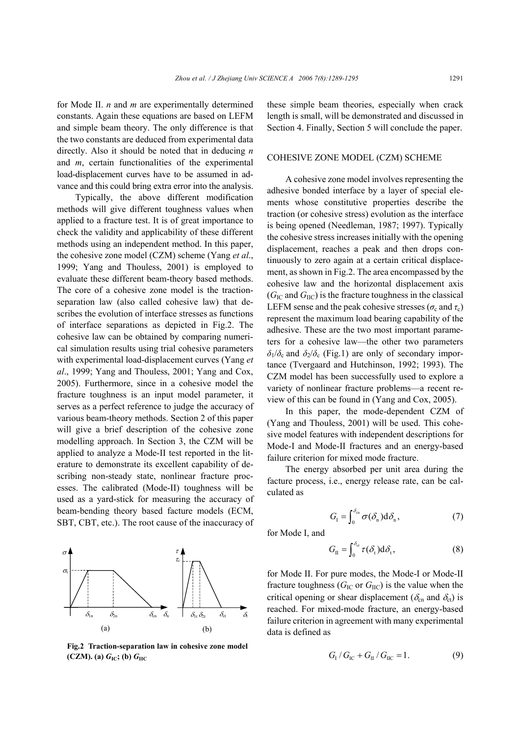for Mode II. *n* and *m* are experimentally determined constants. Again these equations are based on LEFM and simple beam theory. The only difference is that the two constants are deduced from experimental data directly. Also it should be noted that in deducing *n* and *m*, certain functionalities of the experimental load-displacement curves have to be assumed in advance and this could bring extra error into the analysis.

Typically, the above different modification methods will give different toughness values when applied to a fracture test. It is of great importance to check the validity and applicability of these different methods using an independent method. In this paper, the cohesive zone model (CZM) scheme (Yang *et al*., 1999; Yang and Thouless, 2001) is employed to evaluate these different beam-theory based methods. The core of a cohesive zone model is the tractionseparation law (also called cohesive law) that describes the evolution of interface stresses as functions of interface separations as depicted in Fig.2. The cohesive law can be obtained by comparing numerical simulation results using trial cohesive parameters with experimental load-displacement curves (Yang *et al*., 1999; Yang and Thouless, 2001; Yang and Cox, 2005). Furthermore, since in a cohesive model the fracture toughness is an input model parameter, it serves as a perfect reference to judge the accuracy of various beam-theory methods. Section 2 of this paper will give a brief description of the cohesive zone modelling approach. In Section 3, the CZM will be applied to analyze a Mode-II test reported in the literature to demonstrate its excellent capability of describing non-steady state, nonlinear fracture processes. The calibrated (Mode-II) toughness will be used as a yard-stick for measuring the accuracy of beam-bending theory based facture models (ECM, SBT, CBT, etc.). The root cause of the inaccuracy of

## τ  $\tau_{\rm c}$  $\delta_{1n}$   $\delta_{2n}$   $\delta_{n}$   $\delta_{n}$  $\sigma$ σ  $\delta_{1t}$   $\delta_{2t}$   $\delta_{ct}$   $\delta_{t}$  $(a)$  (b)

**Fig.2 Traction-separation law in cohesive zone model**  $(CZM)$ **.** (a)  $G_{IC}$ ; (b)  $G_{HC}$ 

these simple beam theories, especially when crack length is small, will be demonstrated and discussed in Section 4. Finally, Section 5 will conclude the paper.

#### COHESIVE ZONE MODEL (CZM) SCHEME

A cohesive zone model involves representing the adhesive bonded interface by a layer of special elements whose constitutive properties describe the traction (or cohesive stress) evolution as the interface is being opened (Needleman, 1987; 1997). Typically the cohesive stress increases initially with the opening displacement, reaches a peak and then drops continuously to zero again at a certain critical displacement, as shown in Fig.2. The area encompassed by the cohesive law and the horizontal displacement axis  $(G<sub>IC</sub>$  and  $G<sub>IIC</sub>$ ) is the fracture toughness in the classical LEFM sense and the peak cohesive stresses ( $\sigma_c$  and  $\tau_c$ ) represent the maximum load bearing capability of the adhesive. These are the two most important parameters for a cohesive law—the other two parameters  $\delta_1/\delta_c$  and  $\delta_2/\delta_c$  (Fig.1) are only of secondary importance (Tvergaard and Hutchinson, 1992; 1993). The CZM model has been successfully used to explore a variety of nonlinear fracture problems—a recent review of this can be found in (Yang and Cox, 2005).

In this paper, the mode-dependent CZM of (Yang and Thouless, 2001) will be used. This cohesive model features with independent descriptions for Mode-I and Mode-II fractures and an energy-based failure criterion for mixed mode fracture.

The energy absorbed per unit area during the facture process, i.e., energy release rate, can be calculated as

$$
G_{\rm I} = \int_0^{\delta_{\rm en}} \sigma(\delta_{\rm n}) \mathrm{d}\delta_{\rm n},\tag{7}
$$

for Mode I, and

$$
G_{II} = \int_0^{\delta_{\rm ct}} \tau(\delta_{\rm t}) d\delta_{\rm t}, \tag{8}
$$

for Mode II. For pure modes, the Mode-I or Mode-II fracture toughness ( $G_{\text{IC}}$  or  $G_{\text{IIC}}$ ) is the value when the critical opening or shear displacement ( $\delta_{cn}$  and  $\delta_{ct}$ ) is reached. For mixed-mode fracture, an energy-based failure criterion in agreement with many experimental data is defined as

$$
G_{\rm I}/G_{\rm IC} + G_{\rm II}/G_{\rm IC} = 1.
$$
 (9)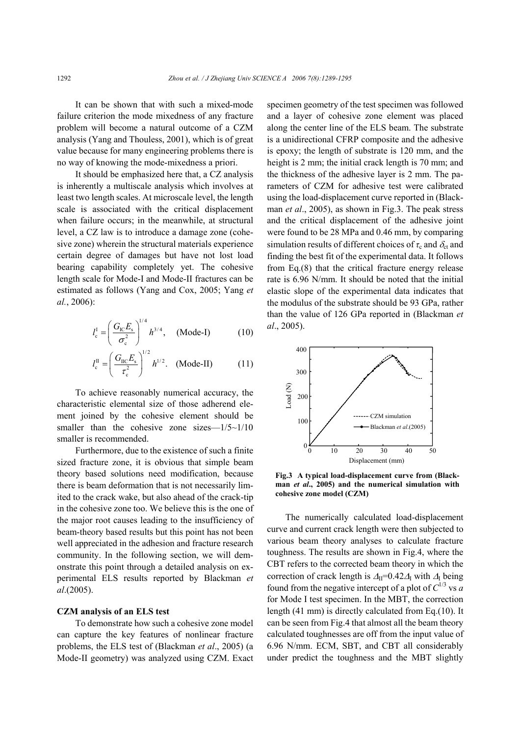It can be shown that with such a mixed-mode failure criterion the mode mixedness of any fracture problem will become a natural outcome of a CZM analysis (Yang and Thouless, 2001), which is of great value because for many engineering problems there is no way of knowing the mode-mixedness a priori.

It should be emphasized here that, a CZ analysis is inherently a multiscale analysis which involves at least two length scales. At microscale level, the length scale is associated with the critical displacement when failure occurs; in the meanwhile, at structural level, a CZ law is to introduce a damage zone (cohesive zone) wherein the structural materials experience certain degree of damages but have not lost load bearing capability completely yet. The cohesive length scale for Mode-I and Mode-II fractures can be estimated as follows (Yang and Cox, 2005; Yang *et al.*, 2006):

$$
l_{c}^{1} = \left(\frac{G_{\rm IC}E_{\rm s}}{\sigma_{\rm c}^{2}}\right)^{1/4} h^{3/4}, \quad \text{(Mode-I)} \tag{10}
$$

$$
l_{\rm c}^{\rm II} = \left(\frac{G_{\rm IIC}E_{\rm s}}{\tau_{\rm c}^2}\right)^{1/2} h^{1/2}. \quad \text{(Mode-II)} \tag{11}
$$

To achieve reasonably numerical accuracy, the characteristic elemental size of those adherend element joined by the cohesive element should be smaller than the cohesive zone sizes— $1/5 \sim 1/10$ smaller is recommended.

Furthermore, due to the existence of such a finite sized fracture zone, it is obvious that simple beam theory based solutions need modification, because there is beam deformation that is not necessarily limited to the crack wake, but also ahead of the crack-tip in the cohesive zone too. We believe this is the one of the major root causes leading to the insufficiency of beam-theory based results but this point has not been well appreciated in the adhesion and fracture research community. In the following section, we will demonstrate this point through a detailed analysis on experimental ELS results reported by Blackman *et al*.(2005).

#### **CZM analysis of an ELS test**

To demonstrate how such a cohesive zone model can capture the key features of nonlinear fracture problems, the ELS test of (Blackman *et al*., 2005) (a Mode-II geometry) was analyzed using CZM. Exact specimen geometry of the test specimen was followed and a layer of cohesive zone element was placed along the center line of the ELS beam. The substrate is a unidirectional CFRP composite and the adhesive is epoxy; the length of substrate is 120 mm, and the height is 2 mm; the initial crack length is 70 mm; and the thickness of the adhesive layer is 2 mm. The parameters of CZM for adhesive test were calibrated using the load-displacement curve reported in (Blackman *et al*., 2005), as shown in Fig.3. The peak stress and the critical displacement of the adhesive joint were found to be 28 MPa and 0.46 mm, by comparing simulation results of different choices of  $\tau_c$  and  $\delta_{ct}$  and finding the best fit of the experimental data. It follows from Eq.(8) that the critical fracture energy release rate is 6.96 N/mm. It should be noted that the initial elastic slope of the experimental data indicates that the modulus of the substrate should be 93 GPa, rather than the value of 126 GPa reported in (Blackman *et al*., 2005).



**Fig.3 A typical load-displacement curve from (Blackman** *et al***., 2005) and the numerical simulation with cohesive zone model (CZM)**

The numerically calculated load-displacement curve and current crack length were then subjected to various beam theory analyses to calculate fracture toughness. The results are shown in Fig.4, where the CBT refers to the corrected beam theory in which the correction of crack length is  $\Delta_{II}$ =0.42 $\Delta_I$  with  $\Delta_I$  being found from the negative intercept of a plot of  $C^{1/3}$  vs *a* for Mode I test specimen. In the MBT, the correction length (41 mm) is directly calculated from Eq.(10). It can be seen from Fig.4 that almost all the beam theory calculated toughnesses are off from the input value of 6.96 N/mm. ECM, SBT, and CBT all considerably under predict the toughness and the MBT slightly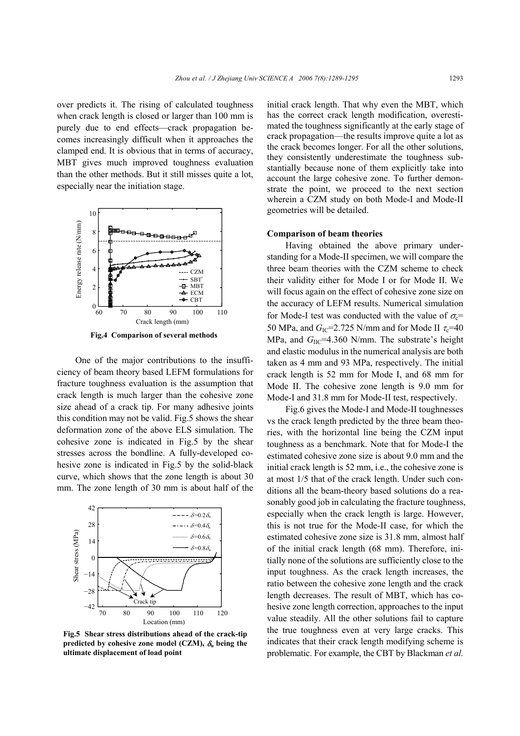over predicts it. The rising of calculated toughness when crack length is closed or larger than 100 mm is purely due to end effects—crack propagation becomes increasingly difficult when it approaches the clamped end. It is obvious that in terms of accuracy, MBT gives much improved toughness evaluation than the other methods. But it still misses quite a lot, especially near the initiation stage.



**Fig.4 Comparison of several methods**

One of the major contributions to the insufficiency of beam theory based LEFM formulations for fracture toughness evaluation is the assumption that crack length is much larger than the cohesive zone size ahead of a crack tip. For many adhesive joints this condition may not be valid. Fig.5 shows the shear deformation zone of the above ELS simulation. The cohesive zone is indicated in Fig.5 by the shear stresses across the bondline. A fully-developed cohesive zone is indicated in Fig.5 by the solid-black curve, which shows that the zone length is about 30 mm. The zone length of 30 mm is about half of the



**Fig.5 Shear stress distributions ahead of the crack-tip predicted by cohesive zone model (CZM),**  $\delta$ **<sub>u</sub> being the ultimate displacement of load point** 

initial crack length. That why even the MBT, which has the correct crack length modification, overestimated the toughness significantly at the early stage of crack propagation—the results improve quite a lot as the crack becomes longer. For all the other solutions, they consistently underestimate the toughness substantially because none of them explicitly take into account the large cohesive zone. To further demonstrate the point, we proceed to the next section wherein a CZM study on both Mode-I and Mode-II geometries will be detailed.

#### **Comparison of beam theories**

Having obtained the above primary understanding for a Mode-II specimen, we will compare the three beam theories with the CZM scheme to check their validity either for Mode I or for Mode II. We will focus again on the effect of cohesive zone size on the accuracy of LEFM results. Numerical simulation for Mode-I test was conducted with the value of  $\sigma_c$ = 50 MPa, and  $G_{\text{IC}}$ =2.725 N/mm and for Mode II  $\tau_c$ =40 MPa, and  $G_{\text{HC}}$ =4.360 N/mm. The substrate's height and elastic modulus in the numerical analysis are both taken as 4 mm and 93 MPa, respectively. The initial crack length is 52 mm for Mode I, and 68 mm for Mode II. The cohesive zone length is 9.0 mm for Mode-I and 31.8 mm for Mode-II test, respectively.

Fig.6 gives the Mode-I and Mode-II toughnesses vs the crack length predicted by the three beam theories, with the horizontal line being the CZM input toughness as a benchmark. Note that for Mode-I the estimated cohesive zone size is about 9.0 mm and the initial crack length is 52 mm, i.e., the cohesive zone is at most 1/5 that of the crack length. Under such conditions all the beam-theory based solutions do a reasonably good job in calculating the fracture toughness, especially when the crack length is large. However, this is not true for the Mode-II case, for which the estimated cohesive zone size is 31.8 mm, almost half of the initial crack length (68 mm). Therefore, initially none of the solutions are sufficiently close to the input toughness. As the crack length increases, the ratio between the cohesive zone length and the crack length decreases. The result of MBT, which has cohesive zone length correction, approaches to the input value steadily. All the other solutions fail to capture the true toughness even at very large cracks. This indicates that their crack length modifying scheme is problematic. For example, the CBT by Blackman *et al.*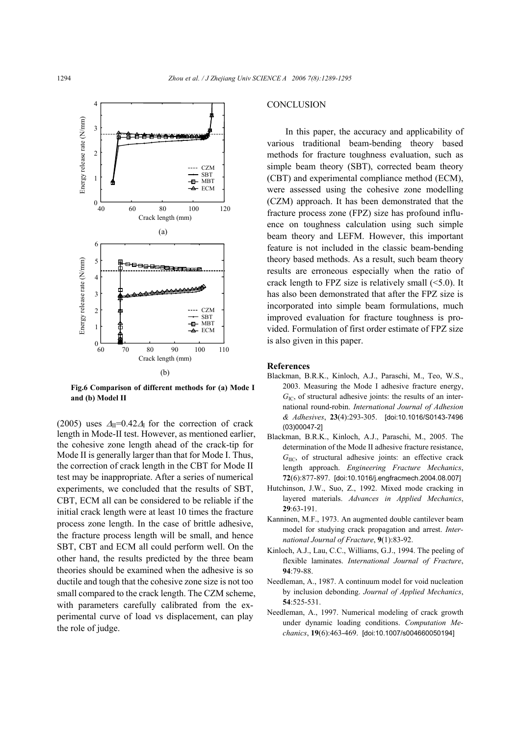

**Fig.6 Comparison of different methods for (a) Mode I and (b) Model II** 

(2005) uses  $\Delta_{II}$ =0.42 $\Delta_I$  for the correction of crack length in Mode-II test. However, as mentioned earlier, the cohesive zone length ahead of the crack-tip for Mode II is generally larger than that for Mode I. Thus, the correction of crack length in the CBT for Mode II test may be inappropriate. After a series of numerical experiments, we concluded that the results of SBT, CBT, ECM all can be considered to be reliable if the initial crack length were at least 10 times the fracture process zone length. In the case of brittle adhesive, the fracture process length will be small, and hence SBT, CBT and ECM all could perform well. On the other hand, the results predicted by the three beam theories should be examined when the adhesive is so ductile and tough that the cohesive zone size is not too small compared to the crack length. The CZM scheme, with parameters carefully calibrated from the experimental curve of load vs displacement, can play the role of judge.

#### **CONCLUSION**

In this paper, the accuracy and applicability of various traditional beam-bending theory based methods for fracture toughness evaluation, such as simple beam theory (SBT), corrected beam theory (CBT) and experimental compliance method (ECM), were assessed using the cohesive zone modelling (CZM) approach. It has been demonstrated that the fracture process zone (FPZ) size has profound influence on toughness calculation using such simple beam theory and LEFM. However, this important feature is not included in the classic beam-bending theory based methods. As a result, such beam theory results are erroneous especially when the ratio of crack length to FPZ size is relatively small  $(\leq 5.0)$ . It has also been demonstrated that after the FPZ size is incorporated into simple beam formulations, much improved evaluation for fracture toughness is provided. Formulation of first order estimate of FPZ size is also given in this paper.

#### **References**

- Blackman, B.R.K., Kinloch, A.J., Paraschi, M., Teo, W.S., 2003. Measuring the Mode I adhesive fracture energy,  $G_{\text{IC}}$ , of structural adhesive joints: the results of an international round-robin. *International Journal of Adhesion & Adhesives*, **23**(4):293-305. [doi:10.1016/S0143-7496 (03)00047-2]
- Blackman, B.R.K., Kinloch, A.J., Paraschi, M., 2005. The determination of the Mode II adhesive fracture resistance, *G*IIC, of structural adhesive joints: an effective crack length approach. *Engineering Fracture Mechanics*, **72**(6):877-897. [doi:10.1016/j.engfracmech.2004.08.007]
- Hutchinson, J.W., Suo, Z., 1992. Mixed mode cracking in layered materials. *Advances in Applied Mechanics*, **29**:63-191.
- Kanninen, M.F., 1973. An augmented double cantilever beam model for studying crack propagation and arrest. *International Journal of Fracture*, **9**(1):83-92.
- Kinloch, A.J., Lau, C.C., Williams, G.J., 1994. The peeling of flexible laminates. *International Journal of Fracture*, **94**:79-88.
- Needleman, A., 1987. A continuum model for void nucleation by inclusion debonding. *Journal of Applied Mechanics*, **54**:525-531.
- Needleman, A., 1997. Numerical modeling of crack growth under dynamic loading conditions. *Computation Mechanics*, **19**(6):463-469. [doi:10.1007/s004660050194]